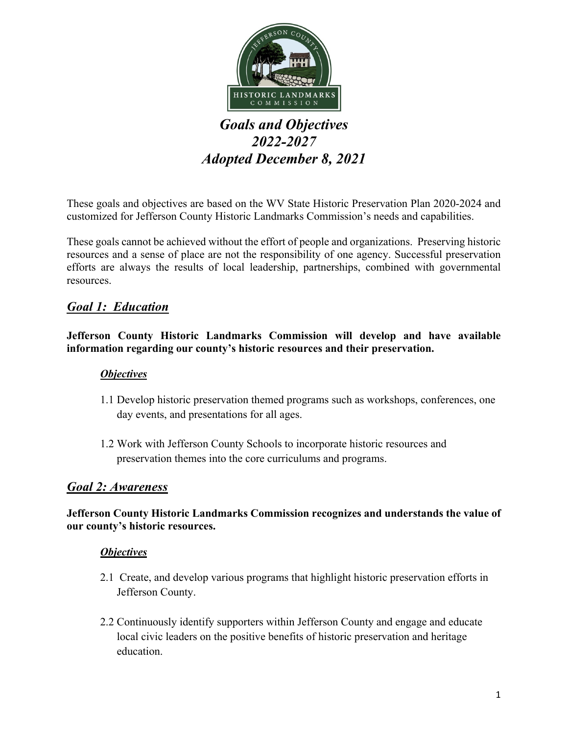

# *Goals and Objectives 2022-2027 Adopted December 8, 2021*

These goals and objectives are based on the WV State Historic Preservation Plan 2020-2024 and customized for Jefferson County Historic Landmarks Commission's needs and capabilities.

These goals cannot be achieved without the effort of people and organizations. Preserving historic resources and a sense of place are not the responsibility of one agency. Successful preservation efforts are always the results of local leadership, partnerships, combined with governmental resources.

# *Goal 1: Education*

### **Jefferson County Historic Landmarks Commission will develop and have available information regarding our county's historic resources and their preservation.**

### *Objectives*

- 1.1 Develop historic preservation themed programs such as workshops, conferences, one day events, and presentations for all ages.
- 1.2 Work with Jefferson County Schools to incorporate historic resources and preservation themes into the core curriculums and programs.

### *Goal 2: Awareness*

### **Jefferson County Historic Landmarks Commission recognizes and understands the value of our county's historic resources.**

### *Objectives*

- 2.1 Create, and develop various programs that highlight historic preservation efforts in Jefferson County.
- 2.2 Continuously identify supporters within Jefferson County and engage and educate local civic leaders on the positive benefits of historic preservation and heritage education.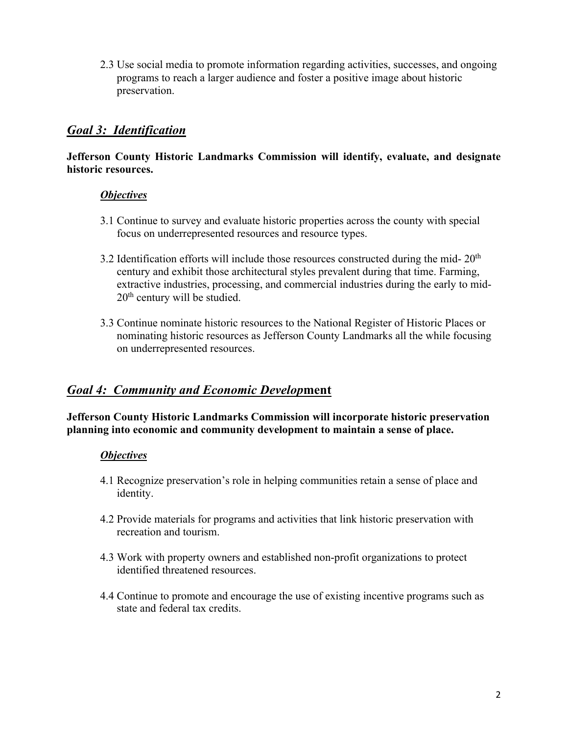2.3 Use social media to promote information regarding activities, successes, and ongoing programs to reach a larger audience and foster a positive image about historic preservation.

# *Goal 3: Identification*

#### **Jefferson County Historic Landmarks Commission will identify, evaluate, and designate historic resources.**

### *Objectives*

- 3.1 Continue to survey and evaluate historic properties across the county with special focus on underrepresented resources and resource types.
- 3.2 Identification efforts will include those resources constructed during the mid- $20<sup>th</sup>$ century and exhibit those architectural styles prevalent during that time. Farming, extractive industries, processing, and commercial industries during the early to mid- $20<sup>th</sup>$  century will be studied.
- 3.3 Continue nominate historic resources to the National Register of Historic Places or nominating historic resources as Jefferson County Landmarks all the while focusing on underrepresented resources.

### *Goal 4: Community and Economic Develop***ment**

**Jefferson County Historic Landmarks Commission will incorporate historic preservation planning into economic and community development to maintain a sense of place.** 

### *Objectives*

- 4.1 Recognize preservation's role in helping communities retain a sense of place and identity.
- 4.2 Provide materials for programs and activities that link historic preservation with recreation and tourism.
- 4.3 Work with property owners and established non-profit organizations to protect identified threatened resources.
- 4.4 Continue to promote and encourage the use of existing incentive programs such as state and federal tax credits.